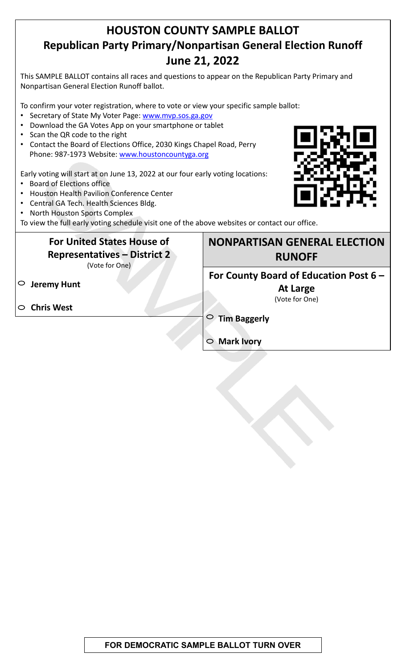## **HOUSTON COUNTY SAMPLE BALLOT Republican Party Primary/Nonpartisan General Election Runoff June 21, 2022**

This SAMPLE BALLOT contains all races and questions to appear on the Republican Party Primary and Nonpartisan General Election Runoff ballot.

To confirm your voter registration, where to vote or view your specific sample ballot:

- Secretary of State My Voter Page: www.mvp.sos.ga.gov
- Download the GA Votes App on your smartphone or tablet
- Scan the QR code to the right
- Contact the Board of Elections Office, 2030 Kings Chapel Road, Perry Phone: 987-1973 Website: www.houstoncountyga.org

Early voting will start at on June 13, 2022 at our four early voting locations:

- Board of Elections office
- Houston Health Pavilion Conference Center
- Central GA Tech. Health Sciences Bldg.
- North Houston Sports Complex

To view the full early voting schedule visit one of the above websites or contact our office.

## **For United States House of Representatives – District 2** (Vote for One)

**Jeremy Hunt**

**Chris West**



**NONPARTISAN GENERAL ELECTION RUNOFF**

**For County Board of Education Post 6 –**

**At Large** (Vote for One)

**Tim Baggerly**

**Mark Ivory**

**FOR DEMOCRATIC SAMPLE BALLOT TURN OVER**